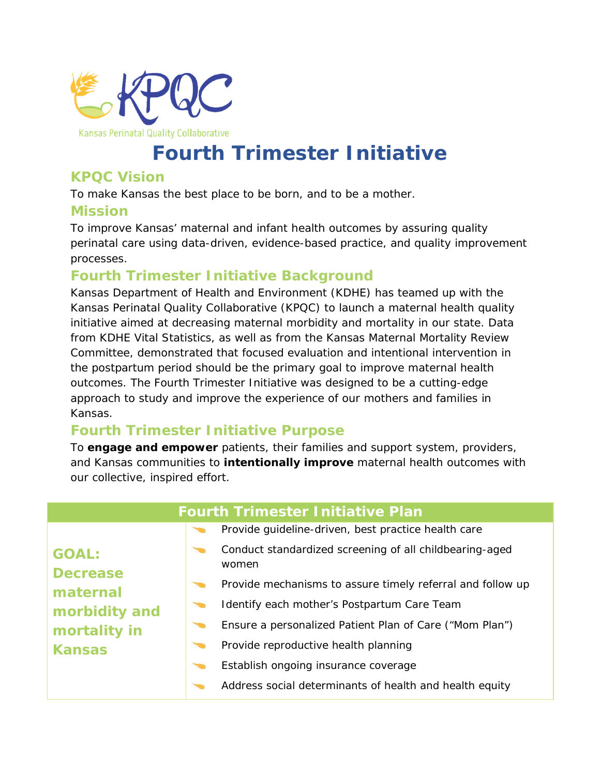

# **Fourth Trimester Initiative**

#### **KPQC Vision**

To make Kansas the best place to be born, and to be a mother.

#### **Mission**

To improve Kansas' maternal and infant health outcomes by assuring quality perinatal care using data-driven, evidence-based practice, and quality improvement processes.

#### **Fourth Trimester Initiative Background**

Kansas Department of Health and Environment (KDHE) has teamed up with the Kansas Perinatal Quality Collaborative (KPQC) to launch a maternal health quality initiative aimed at decreasing maternal morbidity and mortality in our state. Data from KDHE Vital Statistics, as well as from the Kansas Maternal Mortality Review Committee, demonstrated that focused evaluation and intentional intervention in the postpartum period should be the primary goal to improve maternal health outcomes. The Fourth Trimester Initiative was designed to be a cutting-edge approach to study and improve the experience of our mothers and families in Kansas.

### **Fourth Trimester Initiative Purpose**

To **engage and empower** patients, their families and support system, providers, and Kansas communities to **intentionally improve** maternal health outcomes with our collective, inspired effort.

| <b>Fourth Trimester Initiative Plan</b>                                                       |  |                                                                  |
|-----------------------------------------------------------------------------------------------|--|------------------------------------------------------------------|
| <b>GOAL:</b><br><b>Decrease</b><br>maternal<br>morbidity and<br>mortality in<br><b>Kansas</b> |  | Provide guideline-driven, best practice health care              |
|                                                                                               |  | Conduct standardized screening of all childbearing-aged<br>women |
|                                                                                               |  | Provide mechanisms to assure timely referral and follow up       |
|                                                                                               |  | Identify each mother's Postpartum Care Team                      |
|                                                                                               |  | Ensure a personalized Patient Plan of Care ("Mom Plan")          |
|                                                                                               |  | Provide reproductive health planning                             |
|                                                                                               |  | Establish ongoing insurance coverage                             |
|                                                                                               |  | Address social determinants of health and health equity          |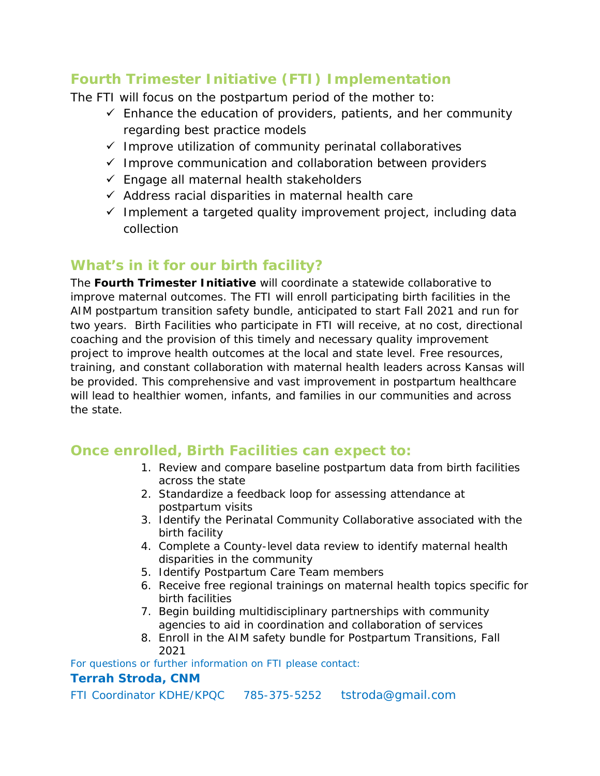## **Fourth Trimester Initiative (FTI) Implementation**

The FTI will focus on the postpartum period of the mother to:

- $\checkmark$  Enhance the education of providers, patients, and her community regarding best practice models
- $\checkmark$  Improve utilization of community perinatal collaboratives
- $\checkmark$  Improve communication and collaboration between providers
- $\checkmark$  Engage all maternal health stakeholders
- $\checkmark$  Address racial disparities in maternal health care
- $\checkmark$  Implement a targeted quality improvement project, including data collection

### **What's in it for our birth facility?**

The **Fourth Trimester Initiative** will coordinate a statewide collaborative to improve maternal outcomes. The FTI will enroll participating birth facilities in the AIM postpartum transition safety bundle, anticipated to start Fall 2021 and run for two years. Birth Facilities who participate in FTI will receive, at no cost, directional coaching and the provision of this timely and necessary quality improvement project to improve health outcomes at the local and state level. Free resources, training, and constant collaboration with maternal health leaders across Kansas will be provided. This comprehensive and vast improvement in postpartum healthcare will lead to healthier women, infants, and families in our communities and across the state.

#### **Once enrolled, Birth Facilities can expect to:**

- 1. Review and compare baseline postpartum data from birth facilities across the state
- 2. Standardize a feedback loop for assessing attendance at postpartum visits
- 3. Identify the Perinatal Community Collaborative associated with the birth facility
- 4. Complete a County-level data review to identify maternal health disparities in the community
- 5. Identify Postpartum Care Team members
- 6. Receive free regional trainings on maternal health topics specific for birth facilities
- 7. Begin building multidisciplinary partnerships with community agencies to aid in coordination and collaboration of services
- 8. Enroll in the AIM safety bundle for Postpartum Transitions, Fall 2021

For questions or further information on FTI please contact:

#### **Terrah Stroda, CNM**

FTI Coordinator KDHE/KPQC 785-375-5252 tstroda@gmail.com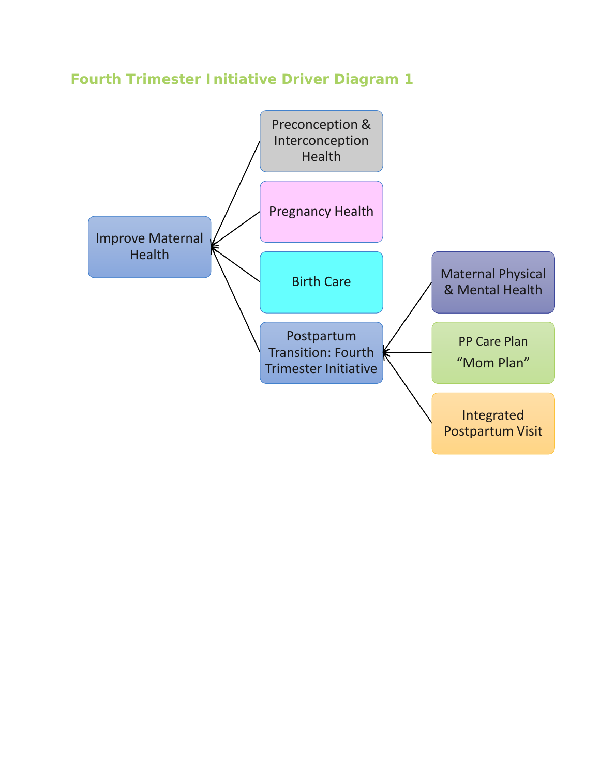# **Fourth Trimester Initiative Driver Diagram 1**